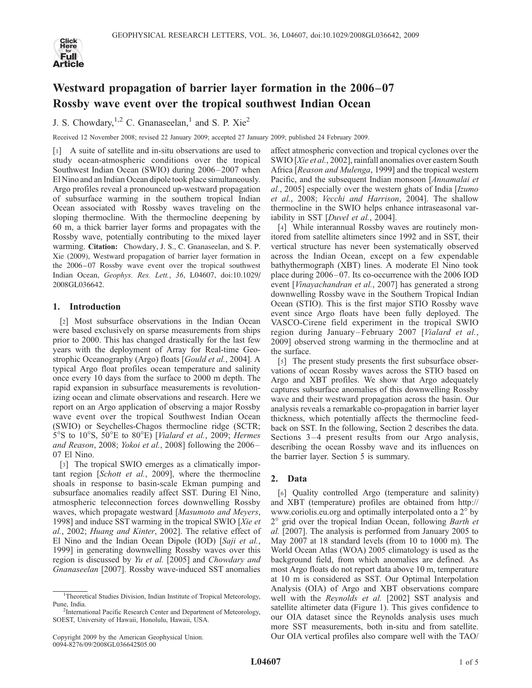

# Westward propagation of barrier layer formation in the 2006–07 Rossby wave event over the tropical southwest Indian Ocean

J. S. Chowdary,  $1,2$  C. Gnanaseelan,<sup>1</sup> and S. P. Xie<sup>2</sup>

Received 12 November 2008; revised 22 January 2009; accepted 27 January 2009; published 24 February 2009.

[1] A suite of satellite and in-situ observations are used to study ocean-atmospheric conditions over the tropical Southwest Indian Ocean (SWIO) during 2006–2007 when El Nino and an Indian Ocean dipole took place simultaneously. Argo profiles reveal a pronounced up-westward propagation of subsurface warming in the southern tropical Indian Ocean associated with Rossby waves traveling on the sloping thermocline. With the thermocline deepening by 60 m, a thick barrier layer forms and propagates with the Rossby wave, potentially contributing to the mixed layer warming. Citation: Chowdary, J. S., C. Gnanaseelan, and S. P. Xie (2009), Westward propagation of barrier layer formation in the 2006–07 Rossby wave event over the tropical southwest Indian Ocean, Geophys. Res. Lett., 36, L04607, doi:10.1029/ 2008GL036642.

## 1. Introduction

[2] Most subsurface observations in the Indian Ocean were based exclusively on sparse measurements from ships prior to 2000. This has changed drastically for the last few years with the deployment of Array for Real-time Geostrophic Oceanography (Argo) floats [Gould et al., 2004]. A typical Argo float profiles ocean temperature and salinity once every 10 days from the surface to 2000 m depth. The rapid expansion in subsurface measurements is revolutionizing ocean and climate observations and research. Here we report on an Argo application of observing a major Rossby wave event over the tropical Southwest Indian Ocean (SWIO) or Seychelles-Chagos thermocline ridge (SCTR;  $5^{\circ}$ S to  $10^{\circ}$ S,  $50^{\circ}$ E to  $80^{\circ}$ E) [*Vialard et al.*, 2009; *Hermes* and Reason, 2008; Yokoi et al., 2008] following the 2006-07 El Nino.

[3] The tropical SWIO emerges as a climatically important region [Schott et al., 2009], where the thermocline shoals in response to basin-scale Ekman pumping and subsurface anomalies readily affect SST. During El Nino, atmospheric teleconnection forces downwelling Rossby waves, which propagate westward [Masumoto and Meyers, 1998] and induce SST warming in the tropical SWIO [Xie et al., 2002; Huang and Kinter, 2002]. The relative effect of El Nino and the Indian Ocean Dipole (IOD) [Saji et al., 1999] in generating downwelling Rossby waves over this region is discussed by Yu et al. [2005] and Chowdary and Gnanaseelan [2007]. Rossby wave-induced SST anomalies

affect atmospheric convection and tropical cyclones over the SWIO [Xie et al., 2002], rainfall anomalies over eastern South Africa [Reason and Mulenga, 1999] and the tropical western Pacific, and the subsequent Indian monsoon [Annamalai et al., 2005] especially over the western ghats of India [Izumo et al., 2008; Vecchi and Harrison, 2004]. The shallow thermocline in the SWIO helps enhance intraseasonal variability in SST [Duvel et al., 2004].

[4] While interannual Rossby waves are routinely monitored from satellite altimeters since 1992 and in SST, their vertical structure has never been systematically observed across the Indian Ocean, except on a few expendable bathythermograph (XBT) lines. A moderate El Nino took place during 2006 –07. Its co-occurrence with the 2006 IOD event [Vinayachandran et al., 2007] has generated a strong downwelling Rossby wave in the Southern Tropical Indian Ocean (STIO). This is the first major STIO Rossby wave event since Argo floats have been fully deployed. The VASCO-Cirene field experiment in the tropical SWIO region during January –February 2007 [Vialard et al., 2009] observed strong warming in the thermocline and at the surface.

[5] The present study presents the first subsurface observations of ocean Rossby waves across the STIO based on Argo and XBT profiles. We show that Argo adequately captures subsurface anomalies of this downwelling Rossby wave and their westward propagation across the basin. Our analysis reveals a remarkable co-propagation in barrier layer thickness, which potentially affects the thermocline feedback on SST. In the following, Section 2 describes the data. Sections  $3-4$  present results from our Argo analysis, describing the ocean Rossby wave and its influences on the barrier layer. Section 5 is summary.

# 2. Data

[6] Quality controlled Argo (temperature and salinity) and XBT (temperature) profiles are obtained from http:// www.coriolis.eu.org and optimally interpolated onto a  $2^{\circ}$  by  $2^\circ$  grid over the tropical Indian Ocean, following Barth et al. [2007]. The analysis is performed from January 2005 to May 2007 at 18 standard levels (from 10 to 1000 m). The World Ocean Atlas (WOA) 2005 climatology is used as the background field, from which anomalies are defined. As most Argo floats do not report data above 10 m, temperature at 10 m is considered as SST. Our Optimal Interpolation Analysis (OIA) of Argo and XBT observations compare well with the Reynolds et al. [2002] SST analysis and satellite altimeter data (Figure 1). This gives confidence to our OIA dataset since the Reynolds analysis uses much more SST measurements, both in-situ and from satellite. Our OIA vertical profiles also compare well with the TAO/

<sup>&</sup>lt;sup>1</sup>Theoretical Studies Division, Indian Institute of Tropical Meteorology, Pune, India.

<sup>&</sup>lt;sup>2</sup>International Pacific Research Center and Department of Meteorology, SOEST, University of Hawaii, Honolulu, Hawaii, USA.

Copyright 2009 by the American Geophysical Union. 0094-8276/09/2008GL036642\$05.00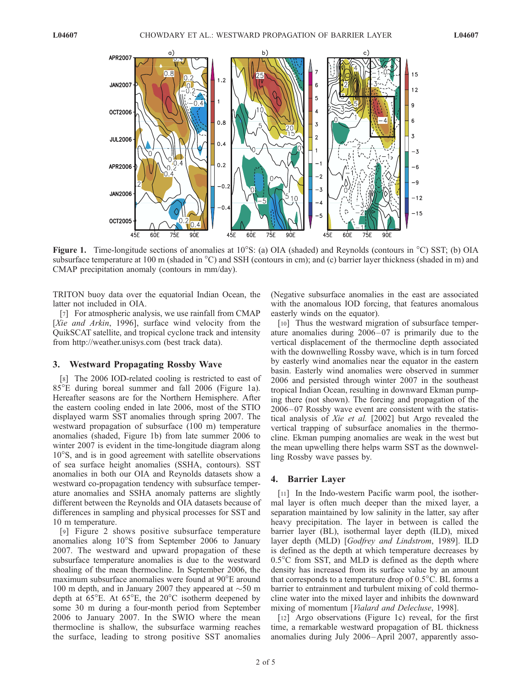

Figure 1. Time-longitude sections of anomalies at  $10^{\circ}$ S: (a) OIA (shaded) and Reynolds (contours in  $^{\circ}$ C) SST; (b) OIA subsurface temperature at 100 m (shaded in  $^{\circ}$ C) and SSH (contours in cm); and (c) barrier layer thickness (shaded in m) and CMAP precipitation anomaly (contours in mm/day).

TRITON buoy data over the equatorial Indian Ocean, the latter not included in OIA.

[7] For atmospheric analysis, we use rainfall from CMAP [Xie and Arkin, 1996], surface wind velocity from the QuikSCAT satellite, and tropical cyclone track and intensity from http://weather.unisys.com (best track data).

#### 3. Westward Propagating Rossby Wave

[8] The 2006 IOD-related cooling is restricted to east of 85E during boreal summer and fall 2006 (Figure 1a). Hereafter seasons are for the Northern Hemisphere. After the eastern cooling ended in late 2006, most of the STIO displayed warm SST anomalies through spring 2007. The westward propagation of subsurface (100 m) temperature anomalies (shaded, Figure 1b) from late summer 2006 to winter 2007 is evident in the time-longitude diagram along  $10^{\circ}$ S, and is in good agreement with satellite observations of sea surface height anomalies (SSHA, contours). SST anomalies in both our OIA and Reynolds datasets show a westward co-propagation tendency with subsurface temperature anomalies and SSHA anomaly patterns are slightly different between the Reynolds and OIA datasets because of differences in sampling and physical processes for SST and 10 m temperature.

[9] Figure 2 shows positive subsurface temperature anomalies along  $10^{\circ}$ S from September 2006 to January 2007. The westward and upward propagation of these subsurface temperature anomalies is due to the westward shoaling of the mean thermocline. In September 2006, the maximum subsurface anomalies were found at  $90^{\circ}E$  around 100 m depth, and in January 2007 they appeared at  $\sim$ 50 m depth at  $65^{\circ}E$ . At  $65^{\circ}E$ , the  $20^{\circ}C$  isotherm deepened by some 30 m during a four-month period from September 2006 to January 2007. In the SWIO where the mean thermocline is shallow, the subsurface warming reaches the surface, leading to strong positive SST anomalies

(Negative subsurface anomalies in the east are associated with the anomalous IOD forcing, that features anomalous easterly winds on the equator).

[10] Thus the westward migration of subsurface temperature anomalies during 2006 –07 is primarily due to the vertical displacement of the thermocline depth associated with the downwelling Rossby wave, which is in turn forced by easterly wind anomalies near the equator in the eastern basin. Easterly wind anomalies were observed in summer 2006 and persisted through winter 2007 in the southeast tropical Indian Ocean, resulting in downward Ekman pumping there (not shown). The forcing and propagation of the 2006– 07 Rossby wave event are consistent with the statistical analysis of Xie et al. [2002] but Argo revealed the vertical trapping of subsurface anomalies in the thermocline. Ekman pumping anomalies are weak in the west but the mean upwelling there helps warm SST as the downwelling Rossby wave passes by.

## 4. Barrier Layer

[11] In the Indo-western Pacific warm pool, the isothermal layer is often much deeper than the mixed layer, a separation maintained by low salinity in the latter, say after heavy precipitation. The layer in between is called the barrier layer (BL), isothermal layer depth (ILD), mixed layer depth (MLD) [Godfrey and Lindstrom, 1989]. ILD is defined as the depth at which temperature decreases by  $0.5^{\circ}$ C from SST, and MLD is defined as the depth where density has increased from its surface value by an amount that corresponds to a temperature drop of  $0.5^{\circ}$ C. BL forms a barrier to entrainment and turbulent mixing of cold thermocline water into the mixed layer and inhibits the downward mixing of momentum [Vialard and Delecluse, 1998].

[12] Argo observations (Figure 1c) reveal, for the first time, a remarkable westward propagation of BL thickness anomalies during July 2006–April 2007, apparently asso-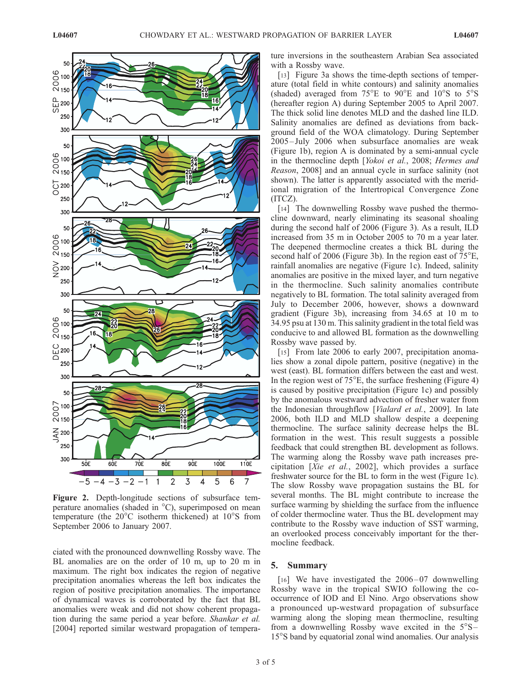

Figure 2. Depth-longitude sections of subsurface temperature anomalies (shaded in  $^{\circ}$ C), superimposed on mean temperature (the  $20^{\circ}$ C isotherm thickened) at  $10^{\circ}$ S from September 2006 to January 2007.

ciated with the pronounced downwelling Rossby wave. The BL anomalies are on the order of 10 m, up to 20 m in maximum. The right box indicates the region of negative precipitation anomalies whereas the left box indicates the region of positive precipitation anomalies. The importance of dynamical waves is corroborated by the fact that BL anomalies were weak and did not show coherent propagation during the same period a year before. Shankar et al. [2004] reported similar westward propagation of temperature inversions in the southeastern Arabian Sea associated with a Rossby wave.

[13] Figure 3a shows the time-depth sections of temperature (total field in white contours) and salinity anomalies (shaded) averaged from  $75^{\circ}E$  to  $90^{\circ}E$  and  $10^{\circ}S$  to  $5^{\circ}S$ (hereafter region A) during September 2005 to April 2007. The thick solid line denotes MLD and the dashed line ILD. Salinity anomalies are defined as deviations from background field of the WOA climatology. During September 2005 – July 2006 when subsurface anomalies are weak (Figure 1b), region A is dominated by a semi-annual cycle in the thermocline depth [Yokoi et al., 2008; Hermes and Reason, 2008] and an annual cycle in surface salinity (not shown). The latter is apparently associated with the meridional migration of the Intertropical Convergence Zone (ITCZ).

[14] The downwelling Rossby wave pushed the thermocline downward, nearly eliminating its seasonal shoaling during the second half of 2006 (Figure 3). As a result, ILD increased from 35 m in October 2005 to 70 m a year later. The deepened thermocline creates a thick BL during the second half of 2006 (Figure 3b). In the region east of  $75^{\circ}E$ , rainfall anomalies are negative (Figure 1c). Indeed, salinity anomalies are positive in the mixed layer, and turn negative in the thermocline. Such salinity anomalies contribute negatively to BL formation. The total salinity averaged from July to December 2006, however, shows a downward gradient (Figure 3b), increasing from 34.65 at 10 m to 34.95 psu at 130 m. This salinity gradient in the total field was conducive to and allowed BL formation as the downwelling Rossby wave passed by.

[15] From late 2006 to early 2007, precipitation anomalies show a zonal dipole pattern, positive (negative) in the west (east). BL formation differs between the east and west. In the region west of  $75^{\circ}$ E, the surface freshening (Figure 4) is caused by positive precipitation (Figure 1c) and possibly by the anomalous westward advection of fresher water from the Indonesian throughflow [Vialard et al., 2009]. In late 2006, both ILD and MLD shallow despite a deepening thermocline. The surface salinity decrease helps the BL formation in the west. This result suggests a possible feedback that could strengthen BL development as follows. The warming along the Rossby wave path increases precipitation [Xie et al., 2002], which provides a surface freshwater source for the BL to form in the west (Figure 1c). The slow Rossby wave propagation sustains the BL for several months. The BL might contribute to increase the surface warming by shielding the surface from the influence of colder thermocline water. Thus the BL development may contribute to the Rossby wave induction of SST warming, an overlooked process conceivably important for the thermocline feedback.

## 5. Summary

[16] We have investigated the  $2006-07$  downwelling Rossby wave in the tropical SWIO following the cooccurrence of IOD and El Nino. Argo observations show a pronounced up-westward propagation of subsurface warming along the sloping mean thermocline, resulting from a downwelling Rossby wave excited in the  $5^{\circ}S-$ 15<sup>o</sup>S band by equatorial zonal wind anomalies. Our analysis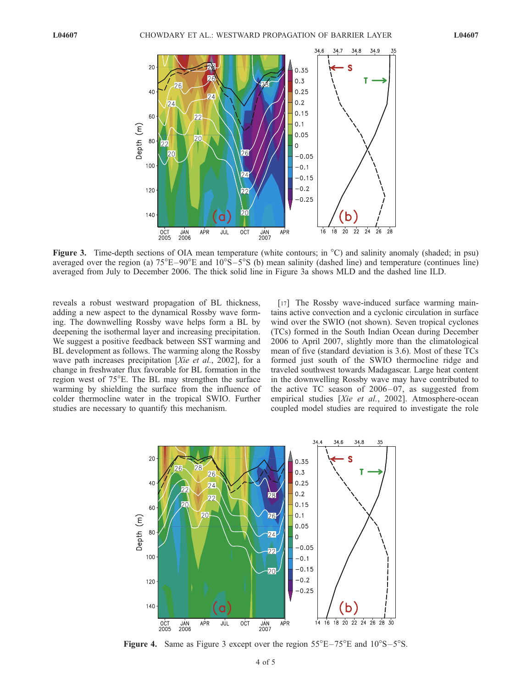

Figure 3. Time-depth sections of OIA mean temperature (white contours; in  $^{\circ}$ C) and salinity anomaly (shaded; in psu) averaged over the region (a)  $75^{\circ}E-90^{\circ}E$  and  $10^{\circ}S-5^{\circ}S$  (b) mean salinity (dashed line) and temperature (continues line) averaged from July to December 2006. The thick solid line in Figure 3a shows MLD and the dashed line ILD.

reveals a robust westward propagation of BL thickness, adding a new aspect to the dynamical Rossby wave forming. The downwelling Rossby wave helps form a BL by deepening the isothermal layer and increasing precipitation. We suggest a positive feedback between SST warming and BL development as follows. The warming along the Rossby wave path increases precipitation [Xie et al., 2002], for a change in freshwater flux favorable for BL formation in the region west of 75°E. The BL may strengthen the surface warming by shielding the surface from the influence of colder thermocline water in the tropical SWIO. Further studies are necessary to quantify this mechanism.

[17] The Rossby wave-induced surface warming maintains active convection and a cyclonic circulation in surface wind over the SWIO (not shown). Seven tropical cyclones (TCs) formed in the South Indian Ocean during December 2006 to April 2007, slightly more than the climatological mean of five (standard deviation is 3.6). Most of these TCs formed just south of the SWIO thermocline ridge and traveled southwest towards Madagascar. Large heat content in the downwelling Rossby wave may have contributed to the active TC season of  $2006 - 07$ , as suggested from empirical studies [Xie et al., 2002]. Atmosphere-ocean coupled model studies are required to investigate the role



**Figure 4.** Same as Figure 3 except over the region  $55^{\circ}E - 75^{\circ}E$  and  $10^{\circ}S - 5^{\circ}S$ .